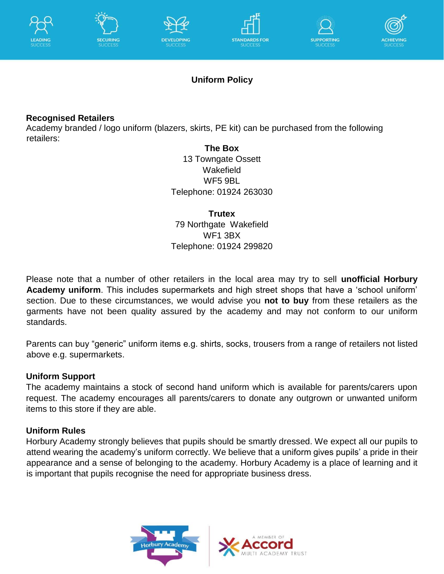











## **Uniform Policy**

### **Recognised Retailers**

Academy branded / logo uniform (blazers, skirts, PE kit) can be purchased from the following retailers:

**The Box** 13 Towngate Ossett **Wakefield** WF5 9BL Telephone: 01924 263030

#### **Trutex**

79 Northgate Wakefield WF1 3BX Telephone: 01924 299820

Please note that a number of other retailers in the local area may try to sell **unofficial Horbury Academy uniform**. This includes supermarkets and high street shops that have a 'school uniform' section. Due to these circumstances, we would advise you **not to buy** from these retailers as the garments have not been quality assured by the academy and may not conform to our uniform standards.

Parents can buy "generic" uniform items e.g. shirts, socks, trousers from a range of retailers not listed above e.g. supermarkets.

### **Uniform Support**

The academy maintains a stock of second hand uniform which is available for parents/carers upon request. The academy encourages all parents/carers to donate any outgrown or unwanted uniform items to this store if they are able.

### **Uniform Rules**

Horbury Academy strongly believes that pupils should be smartly dressed. We expect all our pupils to attend wearing the academy's uniform correctly. We believe that a uniform gives pupils' a pride in their appearance and a sense of belonging to the academy. Horbury Academy is a place of learning and it is important that pupils recognise the need for appropriate business dress.



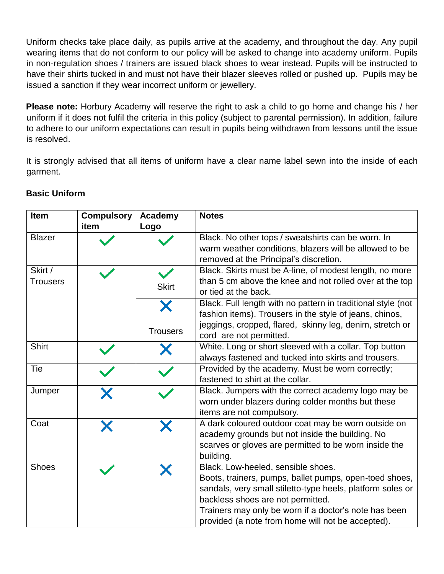Uniform checks take place daily, as pupils arrive at the academy, and throughout the day. Any pupil wearing items that do not conform to our policy will be asked to change into academy uniform. Pupils in non-regulation shoes / trainers are issued black shoes to wear instead. Pupils will be instructed to have their shirts tucked in and must not have their blazer sleeves rolled or pushed up. Pupils may be issued a sanction if they wear incorrect uniform or jewellery.

**Please note:** Horbury Academy will reserve the right to ask a child to go home and change his / her uniform if it does not fulfil the criteria in this policy (subject to parental permission). In addition, failure to adhere to our uniform expectations can result in pupils being withdrawn from lessons until the issue is resolved.

It is strongly advised that all items of uniform have a clear name label sewn into the inside of each garment.

| <b>Item</b>                | <b>Compulsory</b> | Academy              | <b>Notes</b>                                                                                                                                                                                                                                                                                                  |
|----------------------------|-------------------|----------------------|---------------------------------------------------------------------------------------------------------------------------------------------------------------------------------------------------------------------------------------------------------------------------------------------------------------|
|                            | item              | Logo                 |                                                                                                                                                                                                                                                                                                               |
| <b>Blazer</b>              |                   |                      | Black. No other tops / sweatshirts can be worn. In<br>warm weather conditions, blazers will be allowed to be<br>removed at the Principal's discretion.                                                                                                                                                        |
| Skirt /<br><b>Trousers</b> |                   | <b>Skirt</b>         | Black. Skirts must be A-line, of modest length, no more<br>than 5 cm above the knee and not rolled over at the top<br>or tied at the back.                                                                                                                                                                    |
|                            |                   | Х<br><b>Trousers</b> | Black. Full length with no pattern in traditional style (not<br>fashion items). Trousers in the style of jeans, chinos,<br>jeggings, cropped, flared, skinny leg, denim, stretch or                                                                                                                           |
|                            |                   |                      | cord are not permitted.                                                                                                                                                                                                                                                                                       |
| <b>Shirt</b>               |                   | Х                    | White. Long or short sleeved with a collar. Top button<br>always fastened and tucked into skirts and trousers.                                                                                                                                                                                                |
| Tie                        |                   |                      | Provided by the academy. Must be worn correctly;<br>fastened to shirt at the collar.                                                                                                                                                                                                                          |
| Jumper                     |                   |                      | Black. Jumpers with the correct academy logo may be<br>worn under blazers during colder months but these<br>items are not compulsory.                                                                                                                                                                         |
| Coat                       |                   | Х                    | A dark coloured outdoor coat may be worn outside on<br>academy grounds but not inside the building. No<br>scarves or gloves are permitted to be worn inside the<br>building.                                                                                                                                  |
| <b>Shoes</b>               |                   |                      | Black. Low-heeled, sensible shoes.<br>Boots, trainers, pumps, ballet pumps, open-toed shoes,<br>sandals, very small stiletto-type heels, platform soles or<br>backless shoes are not permitted.<br>Trainers may only be worn if a doctor's note has been<br>provided (a note from home will not be accepted). |

### **Basic Uniform**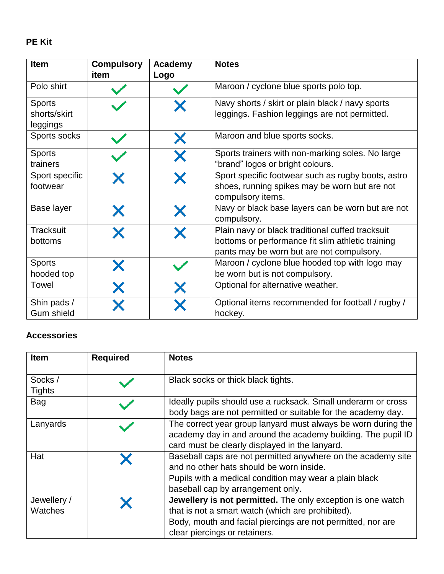## **PE Kit**

| <b>Item</b>                               | <b>Compulsory</b><br>item | Academy<br>Logo | <b>Notes</b>                                                                                                                                       |
|-------------------------------------------|---------------------------|-----------------|----------------------------------------------------------------------------------------------------------------------------------------------------|
| Polo shirt                                |                           |                 | Maroon / cyclone blue sports polo top.                                                                                                             |
| <b>Sports</b><br>shorts/skirt<br>leggings |                           |                 | Navy shorts / skirt or plain black / navy sports<br>leggings. Fashion leggings are not permitted.                                                  |
| Sports socks                              |                           |                 | Maroon and blue sports socks.                                                                                                                      |
| <b>Sports</b><br>trainers                 |                           |                 | Sports trainers with non-marking soles. No large<br>"brand" logos or bright colours.                                                               |
| Sport specific<br>footwear                |                           |                 | Sport specific footwear such as rugby boots, astro<br>shoes, running spikes may be worn but are not<br>compulsory items.                           |
| Base layer                                |                           |                 | Navy or black base layers can be worn but are not<br>compulsory.                                                                                   |
| Tracksuit<br>bottoms                      |                           |                 | Plain navy or black traditional cuffed tracksuit<br>bottoms or performance fit slim athletic training<br>pants may be worn but are not compulsory. |
| <b>Sports</b><br>hooded top               |                           |                 | Maroon / cyclone blue hooded top with logo may<br>be worn but is not compulsory.                                                                   |
| Towel                                     |                           |                 | Optional for alternative weather.                                                                                                                  |
| Shin pads /<br><b>Gum shield</b>          |                           |                 | Optional items recommended for football / rugby /<br>hockey.                                                                                       |

## **Accessories**

| <b>Item</b>              | <b>Required</b> | <b>Notes</b>                                                                                                                                                                                                            |
|--------------------------|-----------------|-------------------------------------------------------------------------------------------------------------------------------------------------------------------------------------------------------------------------|
| Socks /<br><b>Tights</b> |                 | Black socks or thick black tights.                                                                                                                                                                                      |
| Bag                      |                 | Ideally pupils should use a rucksack. Small underarm or cross<br>body bags are not permitted or suitable for the academy day.                                                                                           |
| Lanyards                 |                 | The correct year group lanyard must always be worn during the<br>academy day in and around the academy building. The pupil ID<br>card must be clearly displayed in the lanyard.                                         |
| Hat                      |                 | Baseball caps are not permitted anywhere on the academy site<br>and no other hats should be worn inside.<br>Pupils with a medical condition may wear a plain black<br>baseball cap by arrangement only.                 |
| Jewellery /<br>Watches   |                 | <b>Jewellery is not permitted.</b> The only exception is one watch<br>that is not a smart watch (which are prohibited).<br>Body, mouth and facial piercings are not permitted, nor are<br>clear piercings or retainers. |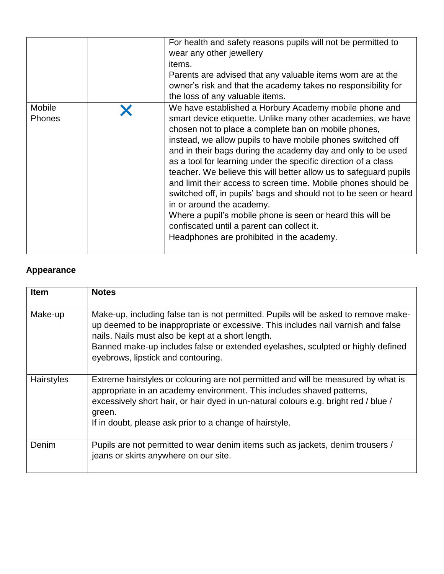|                         | For health and safety reasons pupils will not be permitted to<br>wear any other jewellery<br>items.<br>Parents are advised that any valuable items worn are at the<br>owner's risk and that the academy takes no responsibility for<br>the loss of any valuable items.                                                                                                                                                                                                                                                                                                                                                                                                                                                                                                           |
|-------------------------|----------------------------------------------------------------------------------------------------------------------------------------------------------------------------------------------------------------------------------------------------------------------------------------------------------------------------------------------------------------------------------------------------------------------------------------------------------------------------------------------------------------------------------------------------------------------------------------------------------------------------------------------------------------------------------------------------------------------------------------------------------------------------------|
|                         |                                                                                                                                                                                                                                                                                                                                                                                                                                                                                                                                                                                                                                                                                                                                                                                  |
| Mobile<br><b>Phones</b> | We have established a Horbury Academy mobile phone and<br>smart device etiquette. Unlike many other academies, we have<br>chosen not to place a complete ban on mobile phones,<br>instead, we allow pupils to have mobile phones switched off<br>and in their bags during the academy day and only to be used<br>as a tool for learning under the specific direction of a class<br>teacher. We believe this will better allow us to safeguard pupils<br>and limit their access to screen time. Mobile phones should be<br>switched off, in pupils' bags and should not to be seen or heard<br>in or around the academy.<br>Where a pupil's mobile phone is seen or heard this will be<br>confiscated until a parent can collect it.<br>Headphones are prohibited in the academy. |

# **Appearance**

| <b>Item</b> | <b>Notes</b>                                                                                                                                                                                                                                                                                                                                          |
|-------------|-------------------------------------------------------------------------------------------------------------------------------------------------------------------------------------------------------------------------------------------------------------------------------------------------------------------------------------------------------|
| Make-up     | Make-up, including false tan is not permitted. Pupils will be asked to remove make-<br>up deemed to be inappropriate or excessive. This includes nail varnish and false<br>nails. Nails must also be kept at a short length.<br>Banned make-up includes false or extended eyelashes, sculpted or highly defined<br>eyebrows, lipstick and contouring. |
| Hairstyles  | Extreme hairstyles or colouring are not permitted and will be measured by what is<br>appropriate in an academy environment. This includes shaved patterns,<br>excessively short hair, or hair dyed in un-natural colours e.g. bright red / blue /<br>green.<br>If in doubt, please ask prior to a change of hairstyle.                                |
| Denim       | Pupils are not permitted to wear denim items such as jackets, denim trousers /<br>jeans or skirts anywhere on our site.                                                                                                                                                                                                                               |